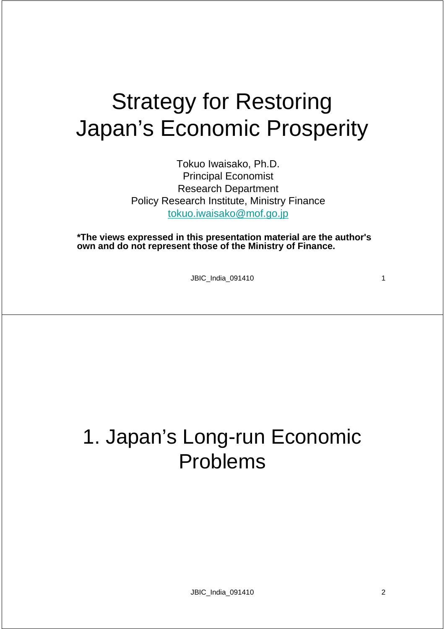# Strategy for Restoring Japan's Economic Prosperity

Tokuo Iwaisako, Ph.D. Principal Economist Research Department Policy Research Institute, Ministry Finance tokuo.iwaisako@mof.go.jp

**\*The views expressed in this presentation material are the author's own and do not represent those of the Ministry of Finance.** 

JBIC\_India\_091410 1

### 1. Japan's Long-run Economic Problems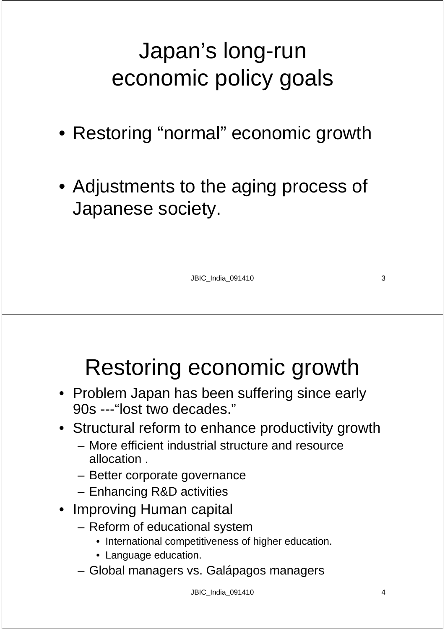# Japan's long-run economic policy goals

- Restoring "normal" economic growth
- Adjustments to the aging process of Japanese society.

JBIC\_India\_091410 3

# Restoring economic growth

- Problem Japan has been suffering since early 90s ---"lost two decades."
- Structural reform to enhance productivity growth
	- More efficient industrial structure and resource allocation .
	- Better corporate governance
	- Enhancing R&D activities
- Improving Human capital
	- Reform of educational system
		- International competitiveness of higher education.
		- Language education.
	- Global managers vs. Galápagos managers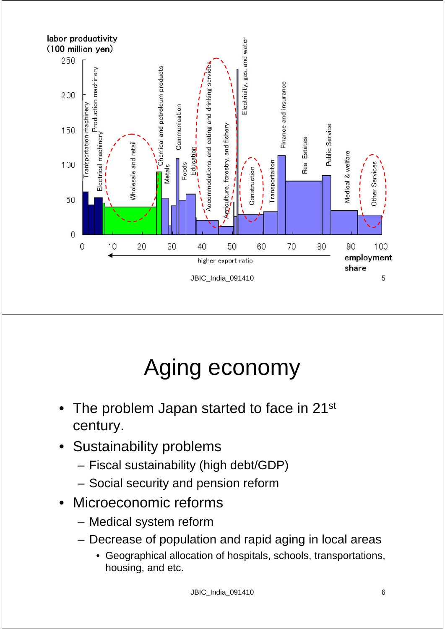

# Aging economy

- The problem Japan started to face in 21<sup>st</sup> century.
- Sustainability problems
	- Fiscal sustainability (high debt/GDP)
	- Social security and pension reform
- Microeconomic reforms
	- Medical system reform
	- Decrease of population and rapid aging in local areas
		- Geographical allocation of hospitals, schools, transportations, housing, and etc.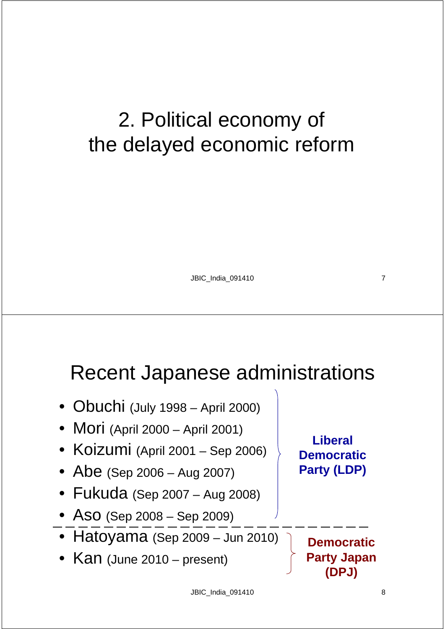# 2. Political economy of the delayed economic reform

JBIC\_India\_091410 7

#### Recent Japanese administrations

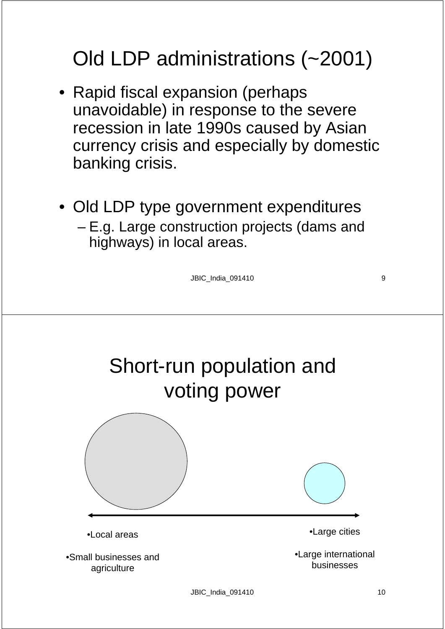### Old LDP administrations (~2001)

- Rapid fiscal expansion (perhaps unavoidable) in response to the severe recession in late 1990s caused by Asian currency crisis and especially by domestic banking crisis.
- Old LDP type government expenditures
	- E.g. Large construction projects (dams and highways) in local areas.

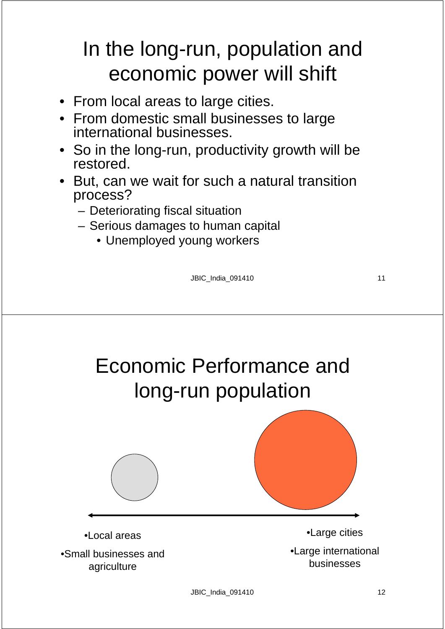### In the long-run, population and economic power will shift

- From local areas to large cities.
- From domestic small businesses to large international businesses.
- So in the long-run, productivity growth will be restored.
- But, can we wait for such a natural transition process?
	- Deteriorating fiscal situation
	- Serious damages to human capital
		- Unemployed young workers

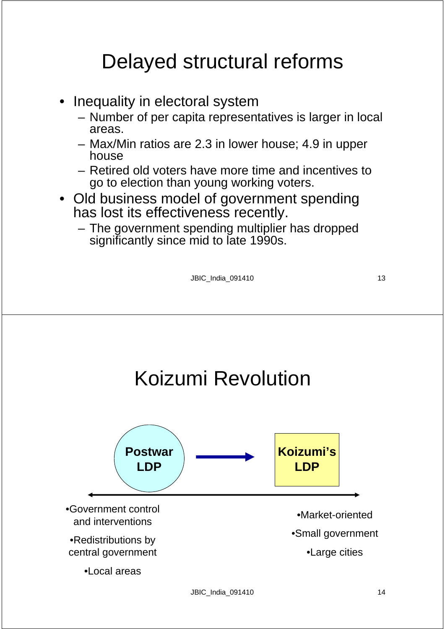#### Delayed structural reforms

- Inequality in electoral system
	- Number of per capita representatives is larger in local areas.
	- Max/Min ratios are 2.3 in lower house; 4.9 in upper house
	- Retired old voters have more time and incentives to go to election than young working voters.
- Old business model of government spending has lost its effectiveness recently.
	- The government spending multiplier has dropped significantly since mid to late 1990s.

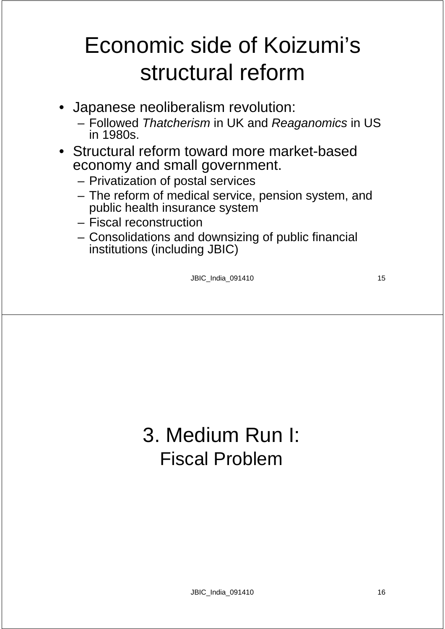# Economic side of Koizumi's structural reform

- Japanese neoliberalism revolution:
	- Followed *Thatcherism* in UK and *Reaganomics* in US in 1980s.
- Structural reform toward more market-based economy and small government.
	- Privatization of postal services
	- The reform of medical service, pension system, and public health insurance system
	- Fiscal reconstruction
	- Consolidations and downsizing of public financial institutions (including JBIC)

JBIC\_India\_091410 15

#### 3. Medium Run I: Fiscal Problem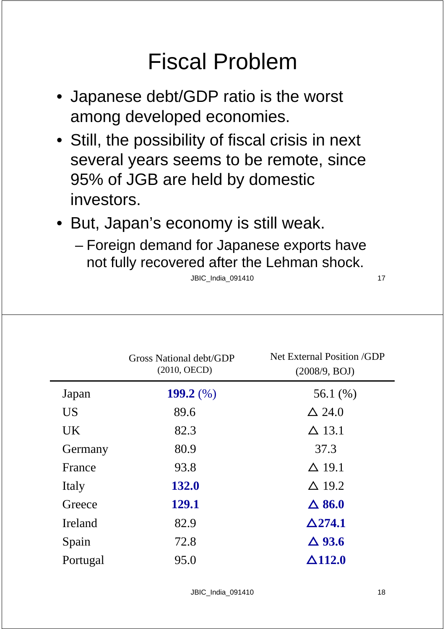# Fiscal Problem

- Japanese debt/GDP ratio is the worst among developed economies.
- Still, the possibility of fiscal crisis in next several years seems to be remote, since 95% of JGB are held by domestic investors.
- But, Japan's economy is still weak.
	- Foreign demand for Japanese exports have not fully recovered after the Lehman shock.

|           | <b>Gross National debt/GDP</b><br>$(2010, \text{OECD})$ | <b>Net External Position /GDP</b><br>(2008/9, BOJ) |
|-----------|---------------------------------------------------------|----------------------------------------------------|
| Japan     | 199.2 $(\%)$                                            | 56.1 $(\% )$                                       |
| <b>US</b> | 89.6                                                    | $\Delta$ 24.0                                      |
| <b>UK</b> | 82.3                                                    | $\Delta$ 13.1                                      |
| Germany   | 80.9                                                    | 37.3                                               |
| France    | 93.8                                                    | $\Delta$ 19.1                                      |
| Italy     | 132.0                                                   | $\Delta$ 19.2                                      |
| Greece    | 129.1                                                   | $\Delta$ 86.0                                      |
| Ireland   | 82.9                                                    | $\Delta$ 274.1                                     |
| Spain     | 72.8                                                    | $\Delta$ 93.6                                      |
| Portugal  | 95.0                                                    | $\Delta$ 112.0                                     |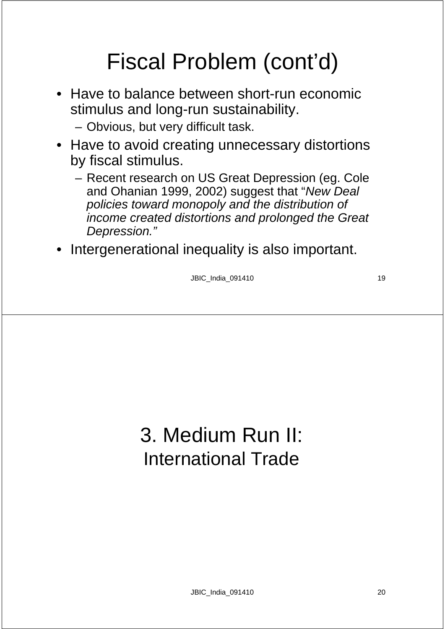# Fiscal Problem (cont'd)

- Have to balance between short-run economic stimulus and long-run sustainability.
	- Obvious, but very difficult task.
- Have to avoid creating unnecessary distortions by fiscal stimulus.
	- Recent research on US Great Depression (eg. Cole and Ohanian 1999, 2002) suggest that "*New Deal policies toward monopoly and the distribution of income created distortions and prolonged the Great Depression."*
- Intergenerational inequality is also important.

JBIC\_India\_091410 19

### 3. Medium Run II: International Trade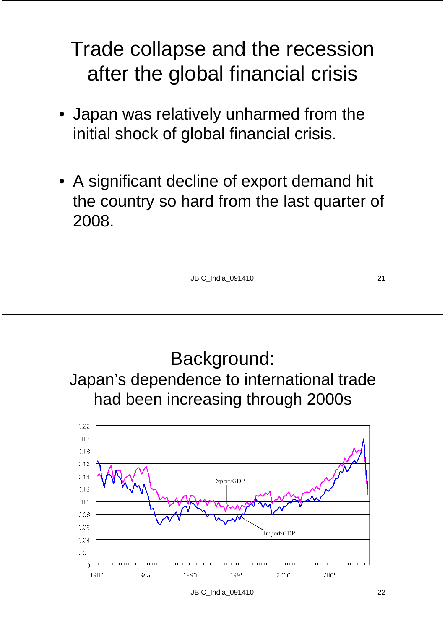#### Trade collapse and the recession after the global financial crisis

- Japan was relatively unharmed from the initial shock of global financial crisis.
- A significant decline of export demand hit the country so hard from the last quarter of 2008.

JBIC\_India\_091410 21

Background: Japan's dependence to international trade had been increasing through 2000s $0.22$  $0.2$ 0.18  $0.16$  $0.14$ Export/GDP  $012$  $01$  $0.08$  $0.06$ Import/GDP 0.04  $0.02$  $\cap$ 1980 1985 1990 1995 2000 2005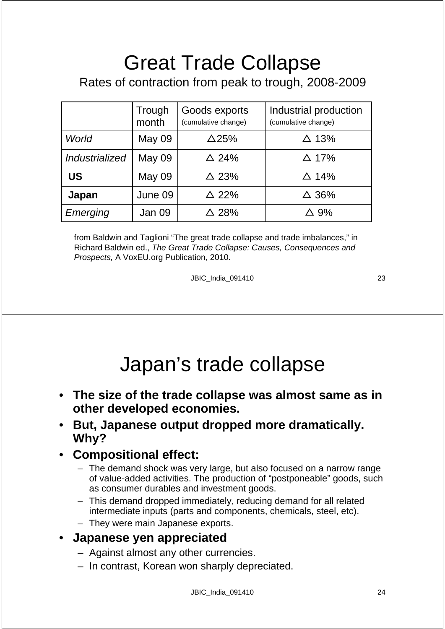# Great Trade Collapse

#### Rates of contraction from peak to trough, 2008-2009

|                | Trough<br>month | Goods exports<br>(cumulative change) | Industrial production<br>(cumulative change) |
|----------------|-----------------|--------------------------------------|----------------------------------------------|
| World          | May 09          | $\Delta$ 25%                         | $\triangle$ 13%                              |
| Industrialized | <b>May 09</b>   | $\triangle$ 24%                      | $\triangle$ 17%                              |
| <b>US</b>      | <b>May 09</b>   | $\triangle$ 23%                      | $\triangle$ 14%                              |
| Japan          | June 09         | $\triangle$ 22%                      | $\triangle$ 36%                              |
| Emerging       | Jan 09          | △ 28%                                | $\triangle$ 9%                               |

from Baldwin and Taglioni "The great trade collapse and trade imbalances," in Richard Baldwin ed., *The Great Trade Collapse: Causes, Consequences and Prospects,* A VoxEU.org Publication, 2010.

JBIC\_India\_091410 23

#### Japan's trade collapse

- **The size of the trade collapse was almost same as in other developed economies.**
- **But, Japanese output dropped more dramatically. Why?**

#### • **Compositional effect:**

- The demand shock was very large, but also focused on a narrow range of value-added activities. The production of "postponeable" goods, such as consumer durables and investment goods.
- This demand dropped immediately, reducing demand for all related intermediate inputs (parts and components, chemicals, steel, etc).
- They were main Japanese exports.

#### • **Japanese yen appreciated**

- Against almost any other currencies.
- In contrast, Korean won sharply depreciated.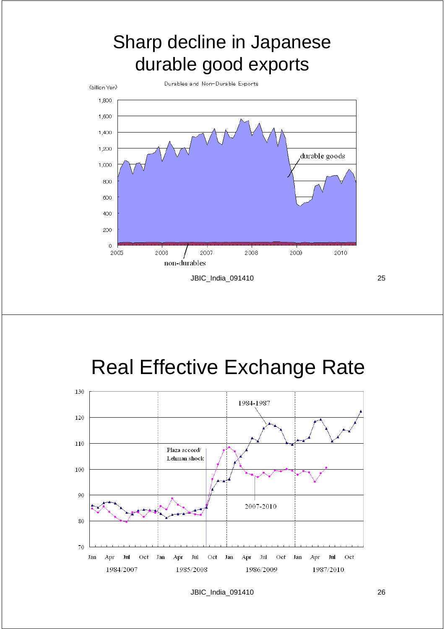#### Sharp decline in Japanese durable good exports



#### Real Effective Exchange Rate

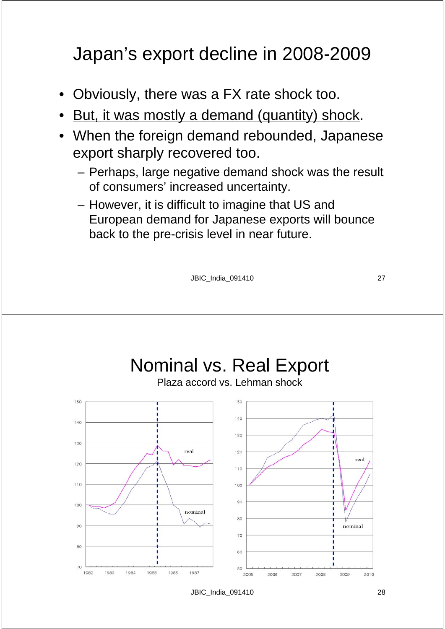#### Japan's export decline in 2008-2009

- Obviously, there was a FX rate shock too.
- But, it was mostly a demand (quantity) shock.
- When the foreign demand rebounded, Japanese export sharply recovered too.
	- Perhaps, large negative demand shock was the result of consumers' increased uncertainty.
	- However, it is difficult to imagine that US and European demand for Japanese exports will bounce back to the pre-crisis level in near future.

JBIC\_India\_091410 27

Nominal vs. Real Export Plaza accord vs. Lehman shockreal real  $10<sup>c</sup>$ nominal nominal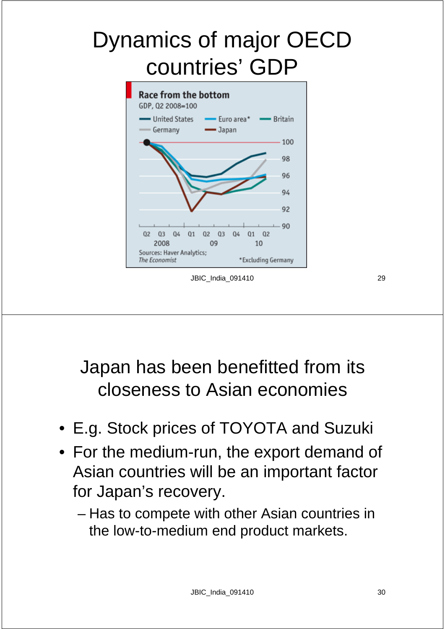# Dynamics of major OECD countries' GDP



#### JBIC\_India\_091410 29

Japan has been benefitted from its closeness to Asian economies

- E.g. Stock prices of TOYOTA and Suzuki
- For the medium-run, the export demand of Asian countries will be an important factor for Japan's recovery.
	- Has to compete with other Asian countries in the low-to-medium end product markets.